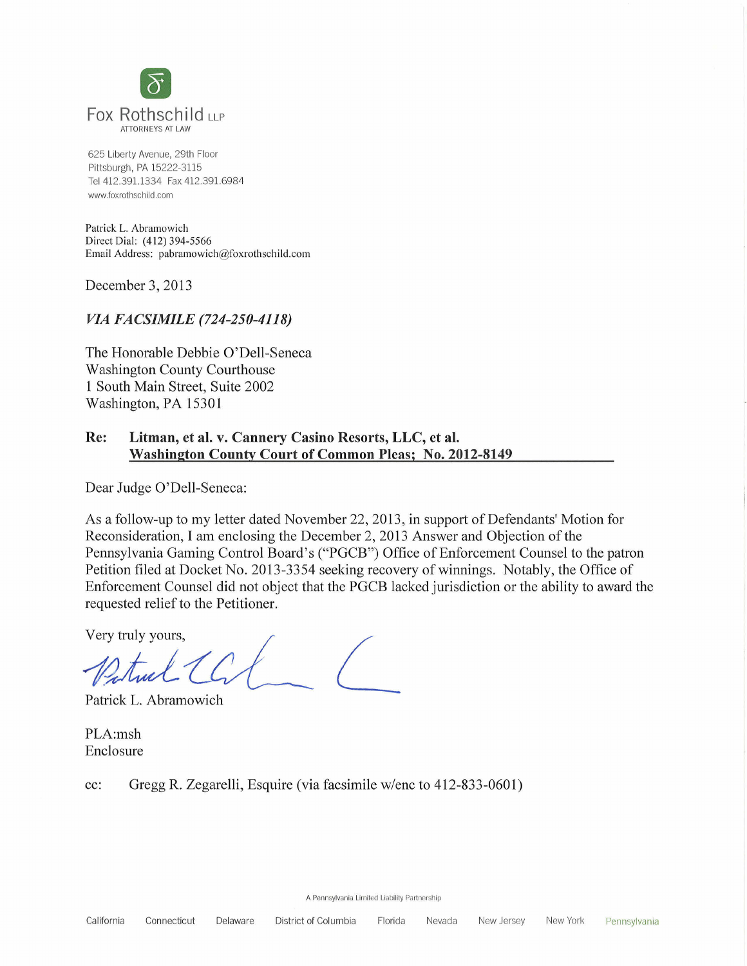

625 Liberty Avenue, 29th Floor Pittsburgh, PA 15222-3115 Tel 412.391.1334 Fax 412.391.6984 www.foxrothschild.com

Patrick L. Abramowich Direct Dial: (412) 394-5566 Email Address: pabramowich@foxrothschild.com

December 3, *201 3*

# *VIA FACSIMILE (724-250-4118)*

The Honorable Debbie O'De11-Seneca Washington County Courthouse 1 South Main Street, Suite 2002 Washington, PA 15301

## Re: Litman, et al. v. Cannery Casino Resorts, LLC, et al. Washington Countv Court of Common Pleas; No. 2012-8149

Dear Judge O'De11-Seneca:

As a follow-up to my letter dated November 22, 2013, in support of Defendants' Motion for Reconsideration, I am enclosing the December 2, 2013 Answer and Objection of the Pennsylvania Gaming Control Board's ("PGCB") Office of Enforcement Counsel to the patron Petition filed at Docket No. 2013-3354 seeking recovery of winnings. Notably, the Office of Enforcement Counsel did not object that the PGCB lacked jurisdiction or the ability to award the requested relief to the Petitioner.

Very truly yours, */*

Patrick L. Abramowich

PLA:msh Enclosure

cc: Gregg R. Zegarelli, Esquire (via facsimile W/ene to 412-833-0601)

A Pennsylvania Limited Liability Partnership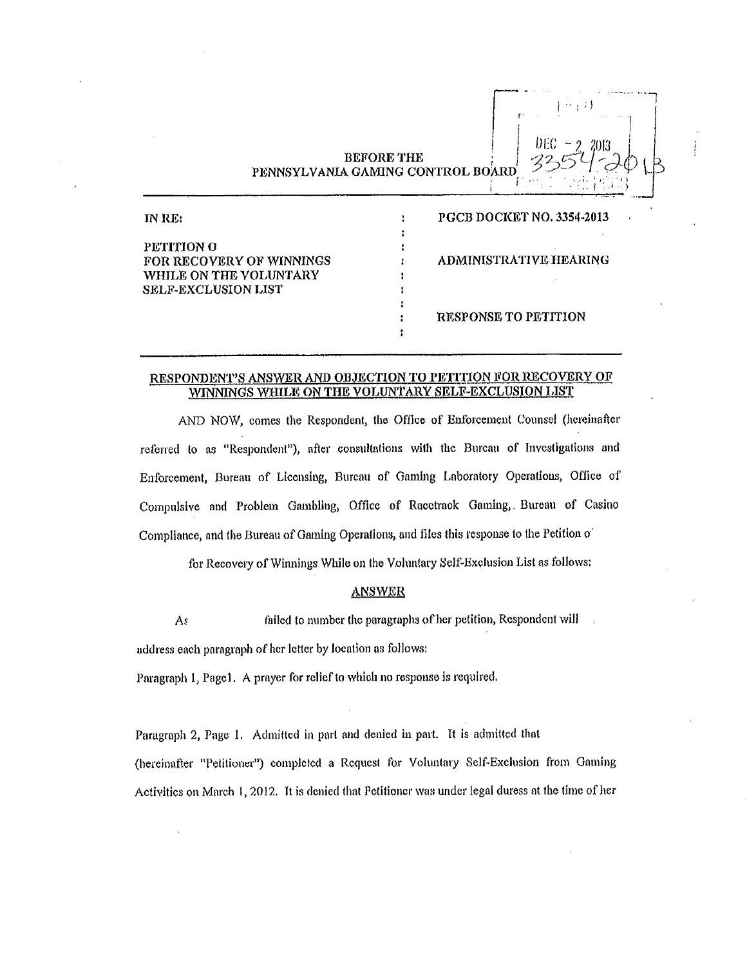**BEFORE THE** PENNSYLVANIA GAMING CONTROL BOARD

r i i.  $\mathbb{R}^n$  i.  $\mathbb{R}^n$  i. I.  $\mathbb{R}^n$ 

de la construcción de la construcción de la construcción de la construcción de la construcción de la construcción de la construcción de la construcción de la construcción de la construcción de la construcción de la constru i <sup>I</sup> I..NLC . 22 7?0)3 I ' '

i *' '* >

| INRE:                           | <b>PGCB DOCKET NO. 3354-2013</b> |
|---------------------------------|----------------------------------|
|                                 |                                  |
| PETITION O                      |                                  |
| <b>FOR RECOVERY OF WINNINGS</b> | ADMINISTRATIVE HEARING           |
| WHILE ON THE VOLUNTARY          |                                  |
| <b>SELF-EXCLUSION LIST</b>      |                                  |
|                                 |                                  |
|                                 | <b>RESPONSE TO PETITION</b>      |
|                                 |                                  |

### RESPONDEN'1"S ANSWER AND OBJECTION To PETITION FOR RECOVERY OF WINNTNGS WHILE ON THE VOLUNTARY SELF-EXCLUSION LIST

AND NOW, comes the Respondent, the Office of Enforcement Counsel (hereinafter referred to as "Respondent"), after consultations with the Bureau of Investigations and Enforcement, Bureau of Licensing, Bureau of Gaming Laboratory Operations, Oflice of Compulsive and Problem Gambling, Office of Racetrack Gaming, Bureau of Casino Compliance, and the Bureau of Gaming Operations, and files this response to the Petition of

for Recovery of Winnings While on the Voluntary Self~Exclusion List as follows:

#### ANSWER

 $As$  failed to number the paragraphs of her petition, Respondent will address each paragraph of her letter by location as follows:

Paragraph 1, Page1. A prayer for relief to which no response is required.

Paragraph 2, Page 1. Admitted in part and denied in part. It is admitted that (hereinafter "Petitioner") completed a Request for Voluntary Self-Exclusion from Gaming Activities on March 1, 2012. It is denied that Petitioner was under legal duress at the time of her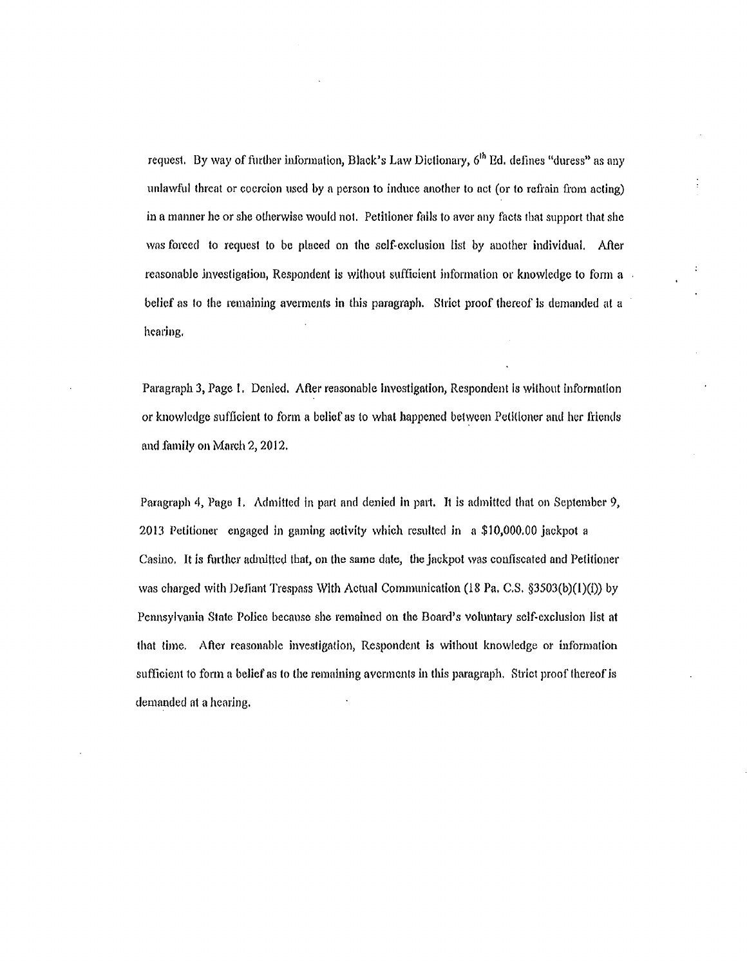request. By way of further information, Black's Law Dictionary, 6<sup>th</sup> Ed. defines "duress" as any unlawful threat or coercion used by a person to induce another to act (or to refrain from acting) in a manner he or she otherwise would not. Petitioner fails to avcr any facts that support that she was forced to request to be placed on the self-exclusion list by another individual. After reasonable investigation, Respondent is without sufficient information or knowledge to form a belief as to the remaining averments in this paragraph. Strict proof thereof is demanded at a heaving.

Paragraph 3, Page 1. Denied. After reasonable investigation, Respondent is without information or knowledge sufficient to form a belief as to what happened between Petitioner and her friends and family on March 2, 2012.

Paragraph 4, Page I. Admitted in part and denied in pmt. It is admitted that on September 9, 2013 Petitioner engaged in gaming activity which resulted in a \$10,000.00 jackpot a Casino, It is fimhcr admitted that, on the same date, the jackpot was confiscated and Petitioner was charged with Defiant Trespass With Actual Communication (18 Pa, C.S. §3503(b)(1)(i)) by Pennsylvania State Police because she remained on the Board's voluntary self-exclusion list at that time. After reasonable investigation, Respondent is without knowledge or information sufficient to form a belief as to the remaining averments in this paragraph. Strict proof thereof is demanded at a hearing.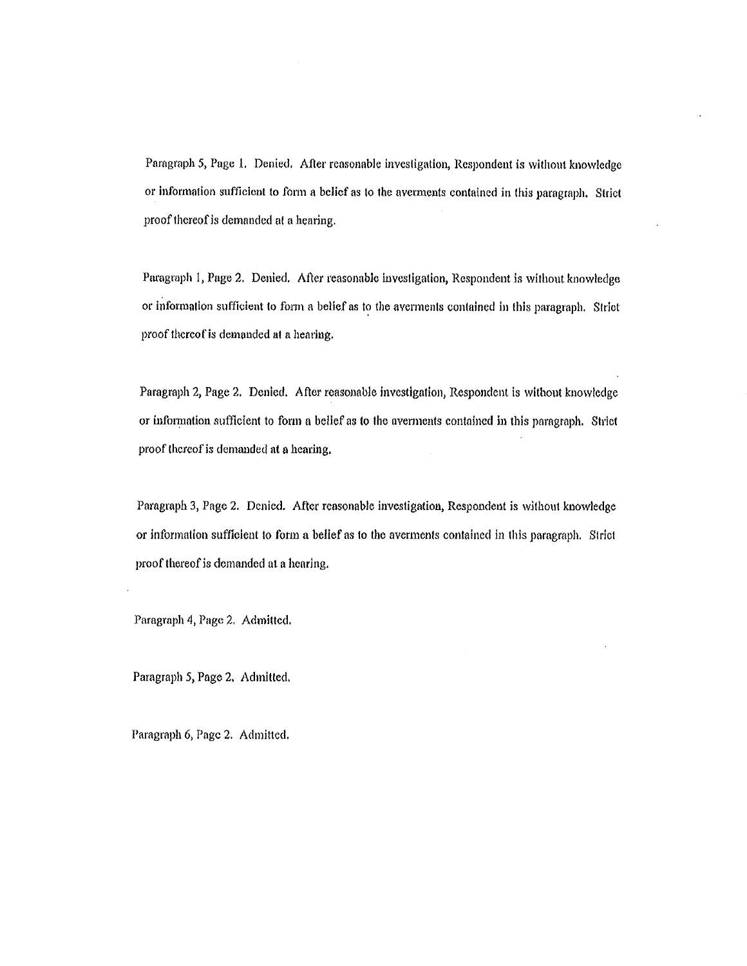Paragraph 5, Page 1. Denied. After reasonable investigation, Respondent is without knowledge or information sufficient to form a belief as to the averments contained in this paragraph. Strict proof thereofis demanded at a hearing.

Paragraph 1, Page 2. Denied. After reasonable investigation, Respondent is without knowledge or information sufficient to form a belief as to the averments contained in this paragraph. Strict proof thereof is demanded at a hearing.

Paragraph 2, Page 2. Denied. After reasonable investigation, Respondent is without knowledge or information sufficient to form a belief as to the averments contained in this paragraph. Strict proof thereof is demanded at a hearing.

Paragraph 3, Page 2. Denied. After reasonable investigation, Respondent is without knowledge or information sufficient to form a belief as to the averments contained in this paragraph. Strict proof thereof is demanded at a hearing.

Paragraph 4, Page 2. Admitted.

Paragraph 5, Page 2. Admitted.

Paragraph 6, Page 2. Admitted.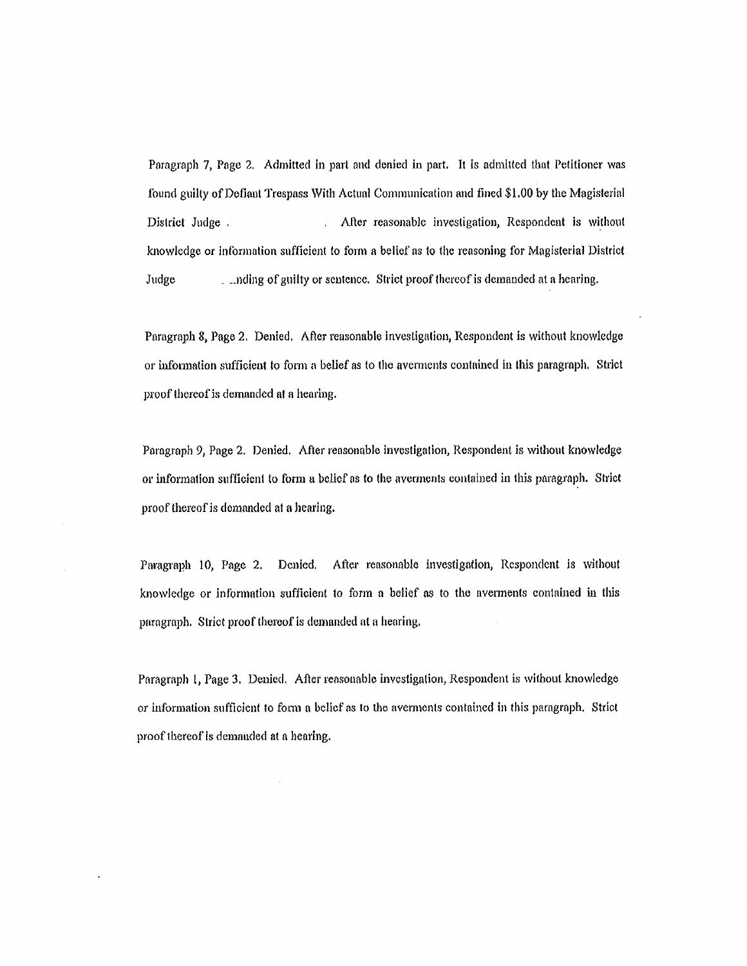Paragraph 7, Page 2. Admitted in part and denied in part. It is admitted that Petitioner was found guilty of Defiant Trespass With Actual Communication and fined \$1.00 by the Magislerial District Judge . After reasonable investigation, Respondent is without knowledge or lnfonnation sufficient to form a belief as to thc reasoning for Magisterial District Judge 1. Inding of guilty or sentence. Strict proof thereof is demanded at a hearing.

Paragraph 8, Page 2. Denied. After reasonable investigation, Respondent is without knowledge or infommation sufficient fo fomm a belief as to the nvexments contained in this paragraph. Su'ict proof thereof is demanded at a hearing.

Paragraph 9, Page 2. Denied. After reasonable investigation, Respondent is without knowledge or information sufficient to form a belief as to the averments contained in this paragraph. Strict proof thereof is demanded at a hearing.

Paragraph 10, Page 2. Denied. After reasonable investigation, Respondent is without knowledge or information sufficient to form a belief as to the uvenments contained in this paragraph. Strict proof thereof is demanded at a hearing.

Paragraph 1, Page 3. Denied. After reasonable investigation, Respondent is without knowledge or information sufficient to fomn a belief as to the avemments contained in this paragraph. Strict proof thereof is demanded at a hearing.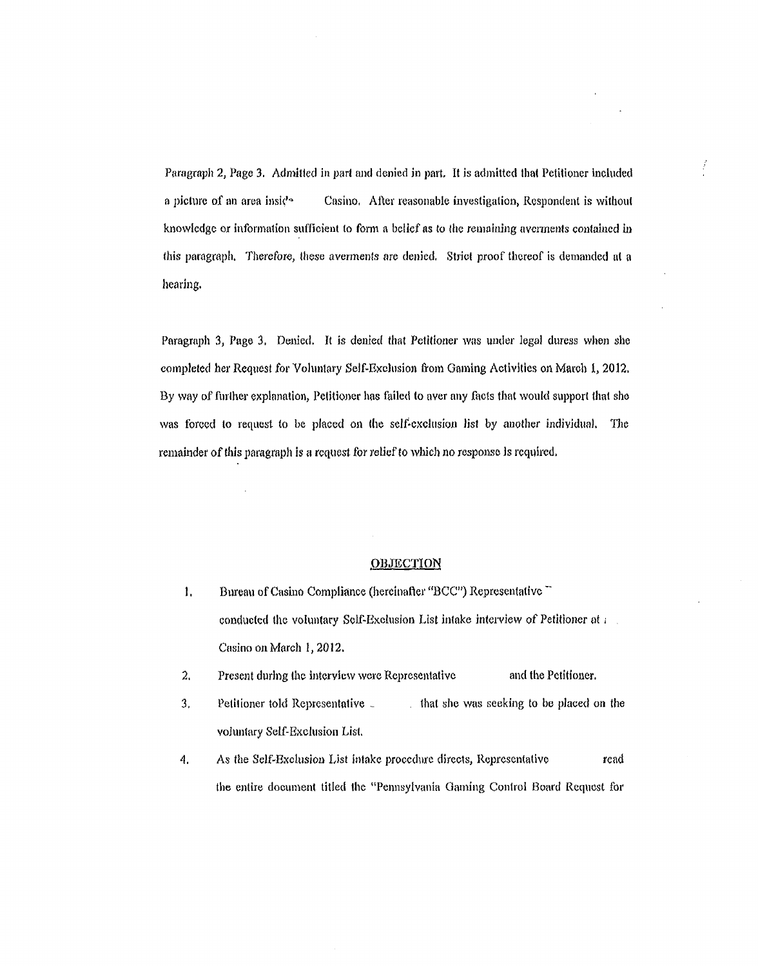Paragraph 2, Page 3. Admitted in part and denied in pmt, It is admitted that Petitioner included a picture of an area inside Casino. After reasonable investigation, Respondent is without knowledge or information sufficient to form a belief as to the remaining averments contained in this paragraph. Therefore, these averments are denied. Strict proof thereof is demanded at a hearing.

 $\frac{1}{2}$ 

Paragraph 3, Page 3. Denied. It is denied that Petitioner was under legal duress when she completed her Request for Voluntary Self-Exclusion from Gaming Activities on March 1, 2012. By way of further explanation, Petitioner has failed to aver any facts that would support that she was forced to request to be placed on the self-exclusion list by another individual. The remainder of this paragraph is a request for relief to which no response is required.

#### **OBJECTION**

- 1. Bureau of Casino Compliance (hereinafter "BCC") Representative conducted the voluntary Self-Exclusion List intake interview of Petitioner at *i* Casino on March l, 2012.
- 2. Present during the interview were Representative and the Petitioner.
- 3. Petitioner told Representative . that she was seeking to be placed on the voluntary Self-Exclusion List.
- 4. As the Self-Exclusion List intake procedure directs, Representative read the entire document titled the "Pennsylvania Gaming Control Board Request for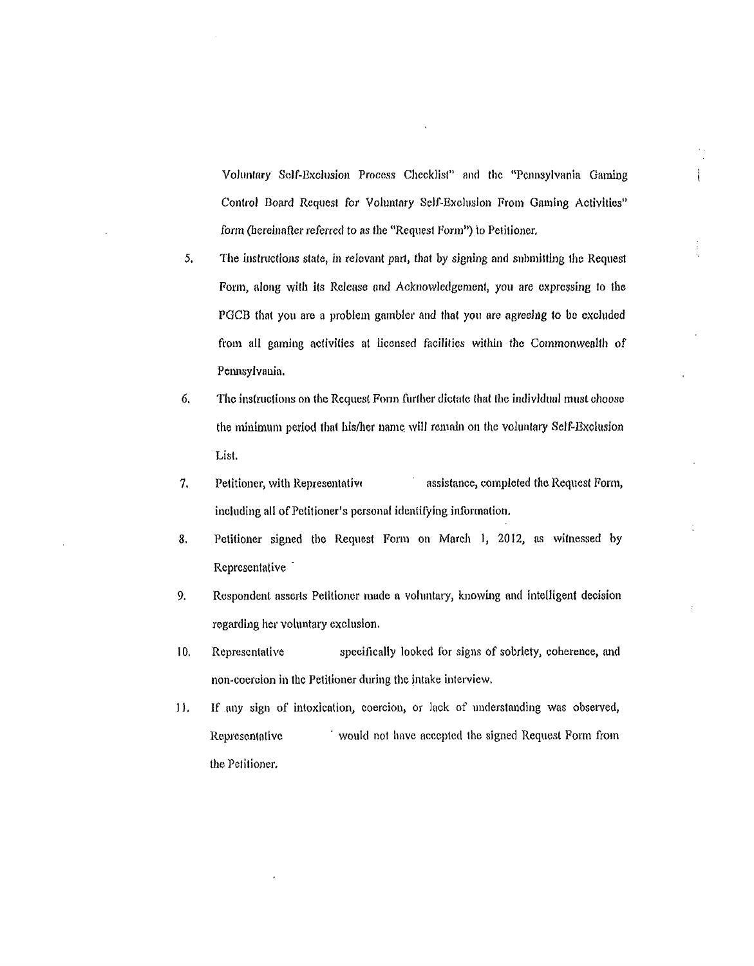Voluntary Self-Exclusion Process Checklist" and the "Pennsylvania Gaming - Control Board Request for Voluntary Self-Exclusion From Gaming Activities" form (hereinafter referred to as the "Request Form") to Petitioner,

 $\frac{1}{2}$ 

- 5. The instructions state, in relevant part, that by signing and submitting the Request Form, along with its Release and Acknowledgement, you are expressing to the PGCB that you are a problem gambler and that you are agreeing to be excluded from all gaming activities at licensed facilities within the Commonwealth of Pennsylvania.
- *6.* The instructions on the Request Fonn further dictate that the individual must choose the minimum period that his/her name will remain on the voluntary Self-Exclusion List.
- 7. Petitioner, with Representative assistance, completed the Request Form, including all of Petitioner's personal identifying information.
- 8. Petitioner signed the Request Form on March 1, 2012, as witnessed by Representative `
- 9. Respondent asserts Petitioner made a voluntary, knowing and intelligent decision regarding her voluntary exclusion.
- 10, Representative specifically looked for signs of sobriety, coherence, and non-coercion in the Petitioner during the intake interview.
- 1), If any sign of intoxication, coercion, or lack of understanding was observed, the Petitioner. Representative would not have accepted the signed Request Form from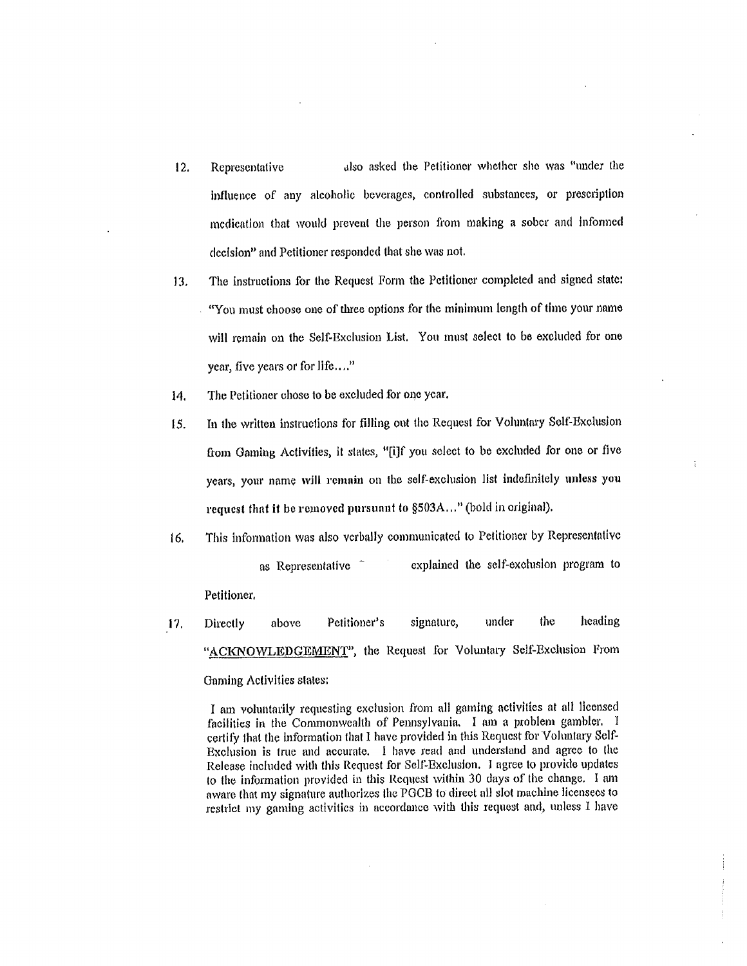- 12. Representative also asked the Petitioner whether she was "under the influence of any alcoholic beverages, controlled substances, or prescription medication diat would prevent the person from making a sober and lnfonned decision" and Petitioner responded that she was not.
- 13. The instructions for the Request Form the Petitioner completed and signed state: "You must choose one of three options for the minimum length of time your name will remain on the Self-Exclusion List. You must select to be excluded for one year, five years or for life...."
- 14. The Petitioner chose to be excluded for one year,
- IS. In the written instructions for Hlling out the Request for Voluntary Self-Exclusion from Gaming Activities, it states, "[i]f you select to be excluded for one or five years, your name will remain on the self-exclusion list indefinitely unless you request that if be removed pursuant to §503A..." (bold in original).
- 16. This infonnation was also verbally communicated to Petitioner by Representative as Representative <sup>-</sup> explained the self-exclusion program to Petitioner.
- *17.* "ACKNOWLEDGEMENT", the Request for Voluntary Self-Exclusion From Gaming Activities states: Directly above Petitioner's signature, under the heading

I am voluntarily requesting exclusion from all gaming activities at all licensed facilities in the Commonwealth of Pennsylvauia I am a problem gambler. I certify that the information that I have provided in this Request for Voluntary Self-Exclusion is true and accurate. l have read and understand and agree to the Release included with this Request for Self-Exclusion. I agree to provide updates to the information provided in this Request within 30 days of the change. l am aware that my signature authorizes the PGCB to direct all slot machine licensees to restrict my gaming activities in accordance with this request and, unless I have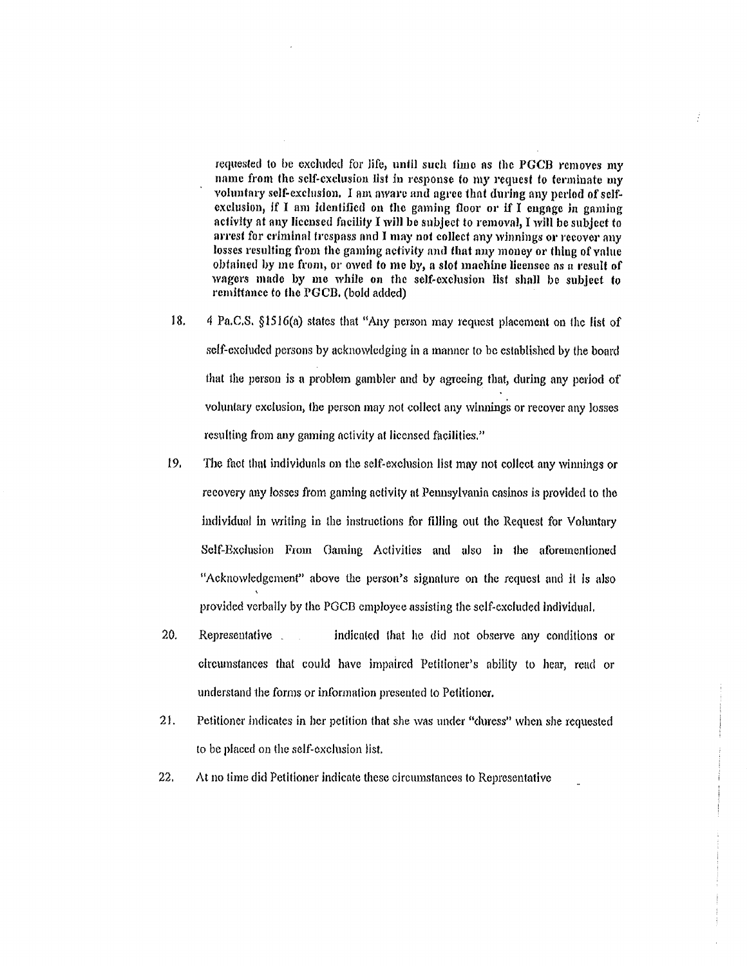requested to be excluded for life, until such time as the PGCB removes my name from the self-exclusion list in response to my request to terminate my voluntary self-exclusion. I am aware and agree that during any period of selfexclusion, if I am identified on the gaming floor or if I engage in gaming activity at any licensed facility I will be subject to removal, I will be subject to arrest for criminal trespass nnd I may not collect any winnings or recover any losses resulting from the gaming activity and that any money or thing of value obtained by me from, or owed to me by, a slot machine licensee as a result of wagers made by me while on the self-exclusion list shall be subject to remittance to the PGCB. (bold added)

Ť.

- *18.* 4 Pa.C.S. §1516(a) states that "Any person may request placement on the list of self-excluded persons by acknowledging in a manner to bc established by the board that the person is a problem gambler and by agreeing that, during any period of voluntary exclusion, the person may not collect any winnings or recover any losses resulting from any gaming activity at licensed facilities."
- 19. The fact that individuals on the self-exclusion list may not collect any winnings or recovery any losses from gaming activity at Pennsylvania casinos is provided to the individual in writing in the instmctions for filling out the Request for Voluntary Self-Exclusion From Gaming Activities and also in the aforementioned "Acknowledgement" above the person's signature on the request and it is also provided verbally by the PGCB employee assisting the sclf~exoluded individual.
- 20. Representative indicated that he did not observe any conditions or circumstances that could have impaired Petitioner's ability to hear, read or understand the forms or information presented to Petitioner.
- 21. Petitioner indicates in ber petition that she was under "duress" when she requested to be placed on the self~cxclusion list.
- *22.* At no time did Petitioner indicate these circumstances to Representative